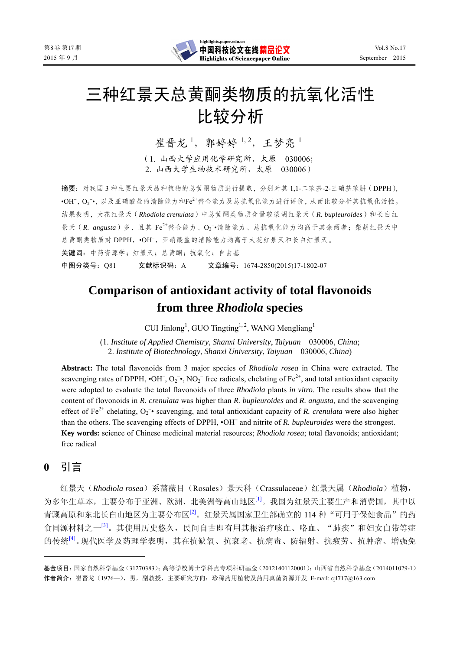

# 三种红景天总黄酮类物质的抗氧化活性 比较分析

崔晋龙<sup>1</sup>, 郭婷婷<sup>1,2</sup>, 王梦亮<sup>1</sup>

(1. 山西大学应用化学研究所,太原 030006; 2. 山西大学生物技术研究所,太原 030006)

摘要:对我国 3 种主要红景天品种植物的总黄酮物质进行提取,分别对其 1,1-二苯基-2-三硝基苯肼(DPPH), ·OH-, O2-, 以及亚硝酸盐的清除能力和Fe2+螯合能力及总抗氧化能力进行评价, 从而比较分析其抗氧化活性。 结果表明,大花红景天(*Rhodiola crenulata*)中总黄酮类物质含量较柴胡红景天(*R. bupleuroides*)和长白红 景天 (R. angusta) 多, 且其 Fe<sup>2+</sup>螯合能力、O<sub>2</sub><sup>-</sup>•清除能力、总抗氧化能力均高于其余两者; 柴胡红景天中 总黄酮类物质对 DPPH, ·OH , 亚硝酸盐的清除能力均高于大花红景天和长白红景天。 关键词:中药资源学;红景天;总黄酮;抗氧化;自由基 中图分类号:Q81 文献标识码:A 文章编号:1674-2850(2015)17-1802-07

# **Comparison of antioxidant activity of total flavonoids from three** *Rhodiola* **species**

CUI Jinlong<sup>1</sup>, GUO Tingting<sup>1, 2</sup>, WANG Mengliang<sup>1</sup>

(1. *Institute of Applied Chemistry*, *Shanxi University*, *Taiyuan* 030006, *China*; 2. *Institute of Biotechnology*, *Shanxi University*, *Taiyuan* 030006, *China*)

**Abstract:** The total flavonoids from 3 major species of *Rhodiola rosea* in China were extracted. The scavenging rates of DPPH,  $\cdot$ OH<sup>-</sup>, O<sub>2</sub><sup>-</sup> $\cdot$ , NO<sub>2</sub><sup>-</sup> free radicals, chelating of Fe<sup>2+</sup>, and total antioxidant capacity were adopted to evaluate the total flavonoids of three *Rhodiola* plants *in vitro*. The results show that the content of flovonoids in *R. crenulata* was higher than *R. bupleuroides* and *R. angusta*, and the scavenging effect of  $Fe^{2+}$  chelating,  $O_2^-$  scavenging, and total antioxidant capacity of *R. crenulata* were also higher than the others. The scavenging effects of DPPH, •OH and nitrite of *R. bupleuroides* were the strongest. **Key words:** science of Chinese medicinal material resources; *Rhodiola rosea*; total flavonoids; antioxidant; free radical

# **0** 引言

红景天(*Rhodiola rosea*)系蔷薇目(Rosales)景天科(Crassulaceae)红景天属(*Rhodiola*)植物, 为多年生草本,主要分布于亚洲、欧洲、北美洲等高山地区[1]。我国为红景天主要生产和消费国,其中以 青藏高原和东北长白山地区为主要分布区<sup>[2]</sup>。红景天属国家卫生部确立的 114 种"可用于保健食品"的药 食同源材料之一<sup>[3]</sup>。其使用历史悠久,民间自古即有用其根治疗咳血、咯血、"肺疾"和妇女白带等症 的传统[4]。现代医学及药理学表明,其在抗缺氧、抗衰老、抗病毒、防辐射、抗疲劳、抗肿瘤、增强免

基金项目:国家自然科学基金(31270383);高等学校博士学科点专项科研基金(20121401120001);山西省自然科学基金(2014011029-1) 作者简介: 崔晋龙(1976—),男,副教授,主要研究方向: 珍稀药用植物及药用真菌资源开发. E-mail: cjl717@163.com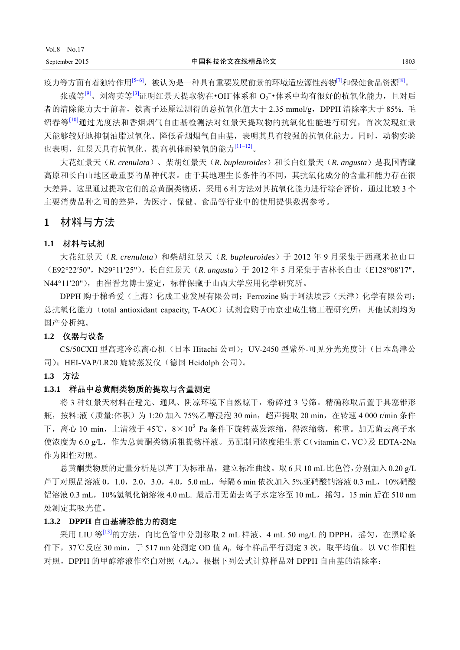疫力等方面有着独特作用<sup>[5~6]</sup>,被认为是一种具有重要发展前景的环境适应源性药物<sup>[7]</sup>和保健食品资源<sup>[8]</sup>。

张彧等<sup>[9]</sup>、刘海英等<sup>[3]</sup>证明红景天提取物在•OH<sup>–</sup>体系和 O<sub>2</sub><sup>-</sup>•体系中均有很好的抗氧化能力,且对后 者的清除能力大于前者, 铁离子还原法测得的总抗氧化值大于 2.35 mmol/g, DPPH 清除率大于 85%. 毛 绍春等<sup>[10]</sup>通过光度法和香烟烟气自由基检测法对红景天提取物的抗氧化性能进行研究, 首次发现红景 天能够较好地抑制油脂过氧化、降低香烟烟气自由基,表明其具有较强的抗氧化能力。同时,动物实验 也表明,红景天具有抗氧化、提高机体耐缺氧的能力[11~12]。

大花红景天(*R. crenulata*)、柴胡红景天(*R. bupleuroides*)和长白红景天(*R. angusta*)是我国青藏 高原和长白山地区最重要的品种代表。由于其地理生长条件的不同,其抗氧化成分的含量和能力存在很 大差异。这里通过提取它们的总黄酮类物质,采用 6 种方法对其抗氧化能力进行综合评价,通过比较 3 个 主要消费品种之间的差异,为医疗、保健、食品等行业中的使用提供数据参考。

# **1** 材料与方法

#### **1.1** 材料与试剂

大花红景天(*R. crenulata*)和柴胡红景天(*R. bupleuroides*)于 2012 年 9 月采集于西藏米拉山口 (E92°22′50",N29°11′25"),长白红景天(*R. angusta*)于 2012 年 5 月采集于吉林长白山(E128°08′17", N44°11′20"),由崔晋龙博士鉴定,标样保藏于山西大学应用化学研究所。

DPPH 购于梯希爱(上海)化成工业发展有限公司; Ferrozine 购于阿法埃莎(天津)化学有限公司; 总抗氧化能力(total antioxidant capacity, T-AOC)试剂盒购于南京建成生物工程研究所;其他试剂均为 国产分析纯。

#### **1.2** 仪器与设备

CS/50CXII 型高速冷冻离心机(日本 Hitachi 公司); UV-2450 型紫外-可见分光光度计(日本岛津公 司);HEI-VAP/LR20 旋转蒸发仪(德国 Heidolph 公司)。

#### **1.3** 方法

#### **1.3.1** 样品中总黄酮类物质的提取与含量测定

将 3 种红景天材料在避光、通风、阴凉环境下自然晾干,粉碎过 3 号筛。精确称取后置于具塞锥形 瓶, 按料:液(质量:体积)为 1:20 加入 75%乙醇浸泡 30 min,超声提取 20 min, 在转速 4 000 r/min 条件 下,离心 10 min,上清液于 45℃,8×10<sup>3</sup> Pa 条件下旋转蒸发浓缩,得浓缩物,称重。加无菌去离子水 使浓度为 6.0 g/L,作为总黄酮类物质粗提物样液。另配制同浓度维生素 C(vitamin C,VC)及 EDTA-2Na 作为阳性对照。

总黄酮类物质的定量分析是以芦丁为标准品,建立标准曲线。取 6只 10 mL 比色管,分别加入 0.20 g/L 芦丁对照品溶液 0,1.0,2.0,3.0,4.0,5.0 mL,每隔 6 min 依次加入 5%亚硝酸钠溶液 0.3 mL,10%硝酸 铝溶液 0.3 mL, 10%氢氧化钠溶液 4.0 mL. 最后用无菌去离子水定容至 10 mL, 摇匀。15 min 后在 510 nm 处测定其吸光值。

#### **1.3.2 DPPH** 自由基清除能力的测定

采用 LIU 等 $^{[13]}$ 的方法, 向比色管中分别移取 2 mL 样液、4 mL 50 mg/L 的 DPPH, 摇匀, 在黑暗条 件下,37℃反应 30 min,于 517 nm 处测定 OD 值 *Ai*. 每个样品平行测定 3 次,取平均值。以 VC 作阳性 对照,DPPH 的甲醇溶液作空白对照(*A*0)。根据下列公式计算样品对 DPPH 自由基的清除率: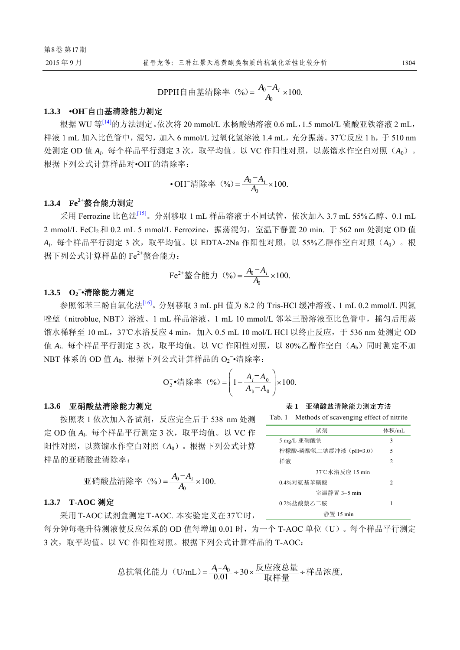$\mathbf{0}$ **DPPH**自由基清除率(%)=  $\frac{A_0 - A_i}{A_0} \times 100$ .

## **1.3.3 •OH–** 自由基清除能力测定

根据 WU 等<sup>[14]</sup>的方法测定。依次将 20 mmol/L 水杨酸钠溶液 0.6 mL, 1.5 mmol/L 硫酸亚铁溶液 2 mL, 样液 1 mL 加入比色管中, 混匀, 加入 6 mmol/L 过氧化氢溶液 1.4 mL, 充分振荡。37℃反应 1 h, 于 510 nm 处测定 OD 值 A<sub>i</sub>. 每个样品平行测定 3 次, 取平均值。以 VC 作阳性对照, 以蒸馏水作空白对照 (A<sub>0</sub>)。 根据下列公式计算样品对•OH– 的清除率:

• OH<sup>-</sup>清除率 (%) = 
$$
\frac{A_0 - A_i}{A_0} \times 100
$$
.

#### **1.3.4 Fe2+**螯合能力测定

采用 Ferrozine 比色法[15]。分别移取 1 mL 样品溶液于不同试管,依次加入 3.7 mL 55%乙醇、0.1 mL 2 mmol/L FeCl2 和 0.2 mL 5 mmol/L Ferrozine,振荡混匀,室温下静置 20 min. 于 562 nm 处测定 OD 值 *Ai*. 每个样品平行测定 3 次,取平均值。以 EDTA-2Na 作阳性对照,以 55%乙醇作空白对照(*A*0)。根 据下列公式计算样品的 Fe2+螯合能力:

Fe<sup>2+</sup> 
$$
\frac{1}{2}
$$
  $\bigoplus$   $f(\frac{1}{2})$   $(\frac{9}{2}) = \frac{A_0 - A_i}{A_0} \times 100.$ 

# 1.3.5 O<sub>2</sub><sup>-</sup>•清除能力测定

参照邻苯三酚自氧化法[16]。分别移取 3 mL pH 值为 8.2 的 Tris-HCl 缓冲溶液、1 mL 0.2 mmol/L 四氮 唑蓝(nitroblue, NBT)溶液、1 mL 样品溶液、1 mL 10 mmol/L 邻苯三酚溶液至比色管中,摇匀后用蒸 馏水稀释至 10 mL, 37℃水浴反应 4 min, 加入 0.5 mL 10 mol/L HCl 以终止反应, 于 536 nm 处测定 OD 值 A<sub>i</sub>. 每个样品平行测定 3 次, 取平均值。以 VC 作阳性对照, 以 80%乙醇作空白 (Ab)同时测定不加 NBT 体系的 OD 值 A<sub>0</sub>. 根据下列公式计算样品的 O<sub>2</sub><sup>-</sup>•清除率:

$$
O_2^-\bullet
$$
  $\ddot{\mathcal{F}}$   $(\frac{9}{6}) = \left(1 - \frac{A_i - A_0}{A_b - A_0}\right) \times 100.$ 

#### **1.3.6** 亚硝酸盐清除能力测定

按照表 1 依次加入各试剂,反应完全后于 538 nm 处测 定 OD 值 A<sub>i</sub>. 每个样品平行测定 3 次, 取平均值。以 VC 作 阳性对照,以蒸馏水作空白对照(*A*0)。根据下列公式计算 样品的亚硝酸盐清除率:

$$
\mathbf{1} \mathbf{1} \mathbf{1} \mathbf{1} \mathbf{1} \mathbf{1} \mathbf{1} \mathbf{1} \mathbf{1} \mathbf{1} \mathbf{1} \mathbf{1} \mathbf{1} \mathbf{1} \mathbf{1} \mathbf{1} \mathbf{1} \mathbf{1} \mathbf{1} \mathbf{1} \mathbf{1} \mathbf{1} \mathbf{1} \mathbf{1} \mathbf{1} \mathbf{1} \mathbf{1} \mathbf{1} \mathbf{1} \mathbf{1} \mathbf{1} \mathbf{1} \mathbf{1} \mathbf{1} \mathbf{1} \mathbf{1} \mathbf{1} \mathbf{1} \mathbf{1} \mathbf{1} \mathbf{1} \mathbf{1} \mathbf{1} \mathbf{1} \mathbf{1} \mathbf{1} \mathbf{1} \mathbf{1} \mathbf{1} \mathbf{1} \mathbf{1} \mathbf{1} \mathbf{1} \mathbf{1} \mathbf{1} \mathbf{1} \mathbf{1} \mathbf{1} \mathbf{1} \mathbf{1} \mathbf{1} \mathbf{1} \mathbf{1} \mathbf{1} \mathbf{1} \mathbf{1} \mathbf{1} \mathbf{1} \mathbf{1} \mathbf{1} \mathbf{1} \mathbf{1} \mathbf{1} \mathbf{1} \mathbf{1} \mathbf{1} \mathbf{1} \mathbf{1} \mathbf{1} \mathbf{1} \mathbf{1} \mathbf{1} \mathbf{1} \mathbf{1} \mathbf{1} \mathbf{1} \mathbf{1} \mathbf{1} \mathbf{1} \mathbf{1} \mathbf{1} \mathbf{1} \mathbf{1} \mathbf{1} \mathbf{1} \mathbf{1} \mathbf{1} \mathbf{1} \mathbf{1} \mathbf{1} \mathbf{1} \mathbf{1} \mathbf{1} \mathbf{1} \mathbf{1} \mathbf{1} \mathbf{1} \mathbf{1} \mathbf{1} \mathbf{1} \mathbf{1} \mathbf{1} \mathbf{1} \mathbf{1} \mathbf{1} \mathbf{1} \mathbf{1} \mathbf{1} \mathbf{1} \mathbf{1} \mathbf{1} \mathbf{1} \mathbf{1} \mathbf{1} \mathbf{1} \mathbf{1} \mathbf
$$

#### **1.3.7 T**-**AOC** 测定

采用T-AOC试剂盒测定T-AOC. 本实验定义在37℃时, 每分钟每毫升待测液使反应体系的 OD 值每增加 0.01 时, 为一个 T-AOC 单位(U)。每个样品平行测定 3 次, 取平均值。以 VC 作阳性对照。根据下列公式计算样品的 T-AOC:

\n
$$
\dot{B} \cdot \dot{B} = \frac{A_i - A_0}{0.01} \div 30 \times \frac{6 \times 8}{12 \times 1} \div 6 \times 12,
$$
\n

#### 表 **1** 亚硝酸盐清除能力测定方法

| Tab. 1 Methods of scavenging effect of nitrite |                             |
|------------------------------------------------|-----------------------------|
| 试剂                                             | 体积/mL                       |
| 5 mg/L 亚硝酸钠                                    | 3                           |
| 柠檬酸-磷酸氢二钠缓冲液 (pH=3.0)                          | 5                           |
| 样液                                             | 2                           |
| 37℃水浴反应 15 min                                 |                             |
| 0.4%对氨基苯磺酸                                     | $\mathcal{D}_{\mathcal{A}}$ |
| 室温静置 3~5 min                                   |                             |
| 0.2%盐酸萘乙二胺                                     | 1                           |
| 静置 15 min                                      |                             |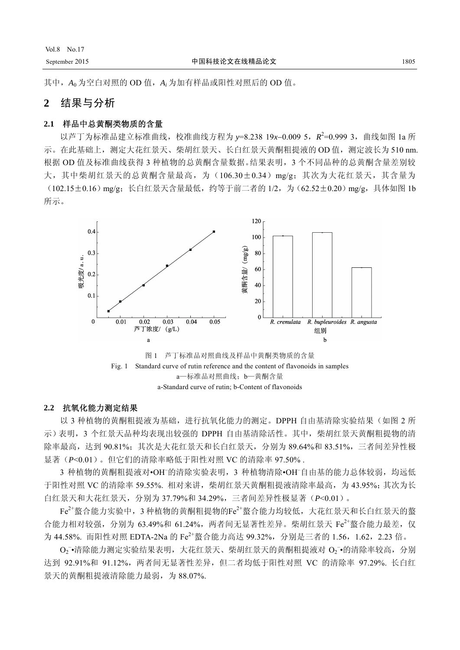其中,*A*<sup>0</sup> 为空白对照的 OD 值,*Ai* 为加有样品或阳性对照后的 OD 值。

# **2** 结果与分析

## **2.1** 样品中总黄酮类物质的含量

以芦丁为标准品建立标准曲线,校准曲线方程为 y=8.238 19x-0.009 5, R<sup>2</sup>=0.999 3, 曲线如图 1a 所 示。在此基础上,测定大花红景天、柴胡红景天、长白红景天黄酮粗提液的 OD 值, 测定波长为 510 nm. 根据 OD 值及标准曲线获得 3 种植物的总黄酮含量数据。结果表明,3 个不同品种的总黄酮含量差别较 大,其中柴胡红景天的总黄酮含量最高,为(106.30±0.34)mg/g;其次为大花红景天,其含量为 (102.15±0.16)mg/g;长白红景天含量最低,约等于前二者的 1/2,为(62.52±0.20)mg/g,具体如图 1b 所示。



#### **2.2** 抗氧化能力测定结果

以 3 种植物的黄酮粗提液为基础,进行抗氧化能力的测定。DPPH 自由基清除实验结果(如图 2 所 示)表明,3 个红景天品种均表现出较强的 DPPH 自由基清除活性。其中,柴胡红景天黄酮粗提物的清 除率最高,达到 90.81%;其次是大花红景天和长白红景天,分别为 89.64%和 83.51%, 三者间差异性极 显著(*P*<0.01)。但它们的清除率略低于阳性对照 VC 的清除率 97.50% .

3 种植物的黄酮粗提液对•OH<sup>-</sup>的清除实验表明, 3 种植物清除•OH<sup>-</sup>自由基的能力总体较弱, 均远低 于阳性对照 VC 的清除率 59.55%. 相对来讲,柴胡红景天黄酮粗提液清除率最高,为 43.95%;其次为长 白红景天和大花红景天,分别为 37.79%和 34.29%,三者间差异性极显著(*P*<0.01)。

 $\mathrm{Fe}^{2+}$ 螯合能力实验中,3 种植物的黄酮粗提物的 $\mathrm{Fe}^{2+}$ 螯合能力均较低,大花红景天和长白红景天的螯 合能力相对较强,分别为 63.49%和 61.24%, 两者间无显著性差异。柴胡红景天 Fe<sup>2+</sup>螯合能力最差, 仅 为 44.58%. 而阳性对照 EDTA-2Na 的 Fe<sup>2+</sup>螯合能力高达 99.32%, 分别是三者的 1.56, 1.62, 2.23 倍。

O2 ·清除能力测定实验结果表明,大花红景天、柴胡红景天的黄酮粗提液对 O2 ·的清除率较高, 分别 达到 92.91%和 91.12%,两者间无显著性差异,但二者均低于阳性对照 VC 的清除率 97.29%. 长白红 景天的黄酮粗提液清除能力最弱,为 88.07%.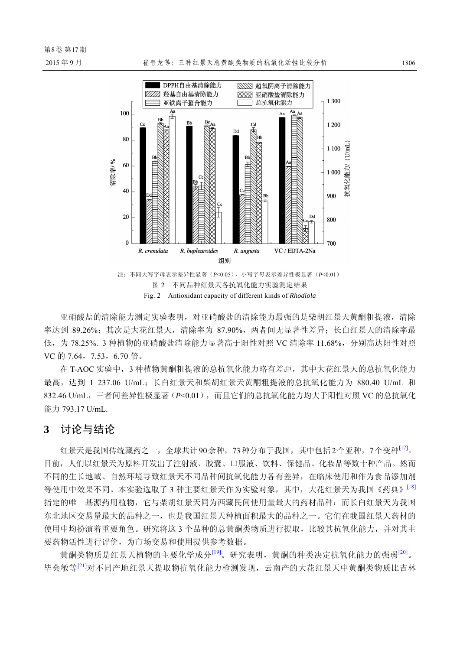

图 2 不同品种红景天各抗氧化能力实验测定结果 Fig. 2 Antioxidant capacity of different kinds of *Rhodiola*

亚硝酸盐的清除能力测定实验表明,对亚硝酸盐的清除能力最强的是柴胡红景天黄酮粗提液,清除 率达到 89.26%; 其次是大花红景天, 清除率为 87.90%, 两者间无显著性差异; 长白红景天的清除率最 低,为 78.25%. 3 种植物的亚硝酸盐清除能力显著高于阳性对照 VC 清除率 11.68%, 分别高达阳性对照 VC 的 7.64, 7.53, 6.70 倍。

在 T-AOC 实验中,3 种植物黄酮粗提液的总抗氧化能力略有差距,其中大花红景天的总抗氧化能力 最高,达到 1 237.06 U/mL;长白红景天和柴胡红景天黄酮粗提液的总抗氧化能力为 880.40 U/mL 和 832.46 U/mL,三者间差异性极显著(*P*<0.01),而且它们的总抗氧化能力均大于阳性对照 VC 的总抗氧化 能力 793.17 U/mL.

# **3** 讨论与结论

红景天是我国传统藏药之一,全球共计90余种,73种分布于我国,其中包括2个亚种,7个变种<sup>[17]</sup>。 目前,人们以红景天为原料开发出了注射液、胶囊、口服液、饮料、保健品、化妆品等数十种产品。然而 不同的生长地域、自然环境导致红景天不同品种间抗氧化能力各有差异,在临床使用和作为食品添加剂 等使用中效果不同。本实验选取了 3 种主要红景天作为实验对象, 其中, 大花红景天为我国《药典》<sup>[18]</sup> 指定的唯一基源药用植物,它与柴胡红景天同为西藏民间使用量最大的药材品种;而长白红景天为我国 东北地区交易量最大的品种之一,也是我国红景天种植面积最大的品种之一。它们在我国红景天药材的 使用中均扮演着重要角色。研究将这 3 个品种的总黄酮类物质进行提取,比较其抗氧化能力,并对其主 要药物活性进行评价,为市场交易和使用提供参考数据。

黄酮类物质是红景天植物的主要化学成分<sup>[19]</sup>。研究表明,黄酮的种类决定抗氧化能力的强弱<sup>[20]</sup>。 毕会敏等[21]对不同产地红景天提取物抗氧化能力检测发现,云南产的大花红景天中黄酮类物质比吉林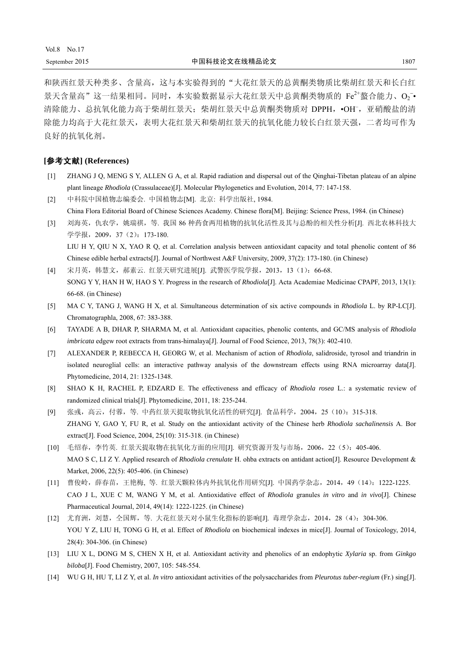和陕西红景天种类多、含量高,这与本实验得到的"大花红景天的总黄酮类物质比柴胡红景天和长白红 景天含量高"这一结果相同。同时,本实验数据显示大花红景天中总黄酮类物质的 Fe<sup>2+</sup>螯合能力、O2 · 清除能力、总抗氧化能力高于柴胡红景天;柴胡红景天中总黄酮类物质对 DPPH, ·OH-, 亚硝酸盐的清 除能力均高于大花红景天,表明大花红景天和柴胡红景天的抗氧化能力较长白红景天强,二者均可作为 良好的抗氧化剂。

#### **[**参考文献**] (References)**

- [1] ZHANG J Q, MENG S Y, ALLEN G A, et al. Rapid radiation and dispersal out of the Qinghai-Tibetan plateau of an alpine plant lineage *Rhodiola* (Crassulaceae)[J]. Molecular Phylogenetics and Evolution, 2014, 77: 147-158.
- [2] 中科院中国植物志编委会. 中国植物志[M]. 北京: 科学出版社, 1984. China Flora Editorial Board of Chinese Sciences Academy. Chinese flora[M]. Beijing: Science Press, 1984. (in Chinese)
- [3] 刘海英,仇农学,姚瑞祺,等. 我国 86 种药食两用植物的抗氧化活性及其与总酚的相关性分析[J]. 西北农林科技大 学学报, 2009, 37 (2): 173-180. LIU H Y, QIU N X, YAO R Q, et al. Correlation analysis between antioxidant capacity and total phenolic content of 86 Chinese edible herbal extracts[J]. Journal of Northwest A&F University, 2009, 37(2): 173-180. (in Chinese)
- [4] 宋月英,韩慧文,郝素云. 红景天研究进展[J]. 武警医学院学报,2013,13(1):66-68. SONG Y Y, HAN H W, HAO S Y. Progress in the research of *Rhodiola*[J]. Acta Academiae Medicinae CPAPF, 2013, 13(1): 66-68. (in Chinese)
- [5] MA C Y, TANG J, WANG H X, et al. Simultaneous determination of six active compounds in *Rhodiola* L. by RP-LC[J]. Chromatographla, 2008, 67: 383-388.
- [6] TAYADE A B, DHAR P, SHARMA M, et al. Antioxidant capacities, phenolic contents, and GC/MS analysis of *Rhodiola imbricata* edgew root extracts from trans-himalaya[J]. Journal of Food Science, 2013, 78(3): 402-410.
- [7] ALEXANDER P, REBECCA H, GEORG W, et al. Mechanism of action of *Rhodiola*, salidroside, tyrosol and triandrin in isolated neuroglial cells: an interactive pathway analysis of the downstream effects using RNA microarray data[J]. Phytomedicine, 2014, 21: 1325-1348.
- [8] SHAO K H, RACHEL P, EDZARD E. The effectiveness and efficacy of *Rhodiola rosea* L.: a systematic review of randomized clinical trials[J]. Phytomedicine, 2011, 18: 235-244.
- [9] 张彧,高云,付蓉,等. 中药红景天提取物抗氧化活性的研究[J]. 食品科学,2004,25(10):315-318. ZHANG Y, GAO Y, FU R, et al. Study on the antioxidant activity of the Chinese herb *Rhodiola sachalinensis* A. Bor extract[J]. Food Science, 2004, 25(10): 315-318. (in Chinese)
- [10] 毛绍春,李竹英. 红景天提取物在抗氧化方面的应用[J]. 研究资源开发与市场,2006,22(5):405-406. MAO S C, LI Z Y. Applied research of *Rhodiola crenulate* H. ohba extracts on antidant action[J]. Resource Development & Market, 2006, 22(5): 405-406. (in Chinese)
- [11] 曹俊岭,薛春苗,王艳梅, 等. 红景天颗粒体内外抗氧化作用研究[J]. 中国药学杂志,2014,49(14):1222-1225. CAO J L, XUE C M, WANG Y M, et al. Antioxidative effect of *Rhodiola* granules *in vitro* and *in vivo*[J]. Chinese Pharmaceutical Journal, 2014, 49(14): 1222-1225. (in Chinese)
- [12] 尤育洲, 刘慧, 仝国辉, 等. 大花红景天对小鼠生化指标的影响[J]. 毒理学杂志, 2014, 28 (4): 304-306. YOU Y Z, LIU H, TONG G H, et al. Effect of *Rhodiola* on biochemical indexes in mice[J]. Journal of Toxicology, 2014, 28(4): 304-306. (in Chinese)
- [13] LIU X L, DONG M S, CHEN X H, et al. Antioxidant activity and phenolics of an endophytic *Xylaria* sp. from *Ginkgo biloba*[J]. Food Chemistry, 2007, 105: 548-554.
- [14] WU G H, HU T, LI Z Y, et al. *In vitro* antioxidant activities of the polysaccharides from *Pleurotus tuber-regium* (Fr.) sing[J].